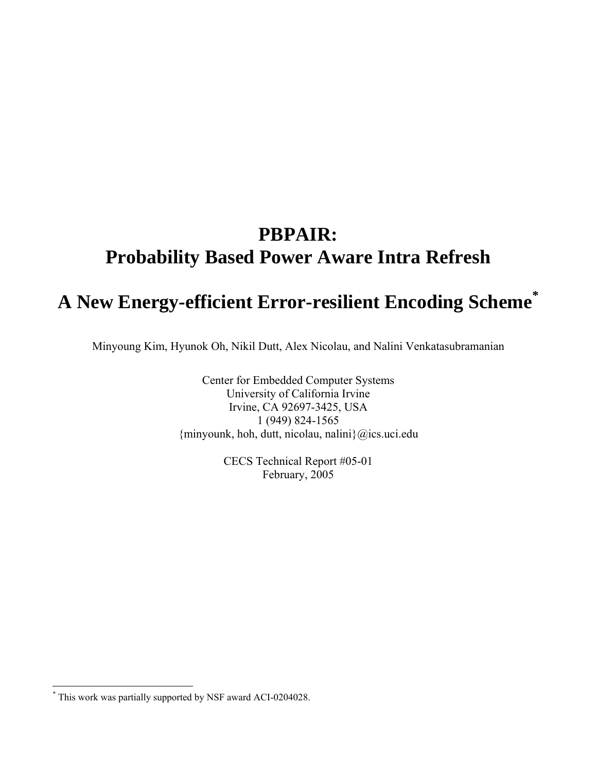# **PBPAIR: Probability Based Power Aware Intra Refresh**

# **A New Energy-efficient Error-resilient Encoding Scheme[\\*](#page-0-0)**

Minyoung Kim, Hyunok Oh, Nikil Dutt, Alex Nicolau, and Nalini Venkatasubramanian

Center for Embedded Computer Systems University of California Irvine Irvine, CA 92697-3425, USA 1 (949) 824-1565 {minyounk, hoh, dutt, nicolau, nalini}@ics.uci.edu

> CECS Technical Report #05-01 February, 2005

 $\overline{a}$ 

<span id="page-0-0"></span><sup>\*</sup> This work was partially supported by NSF award ACI-0204028.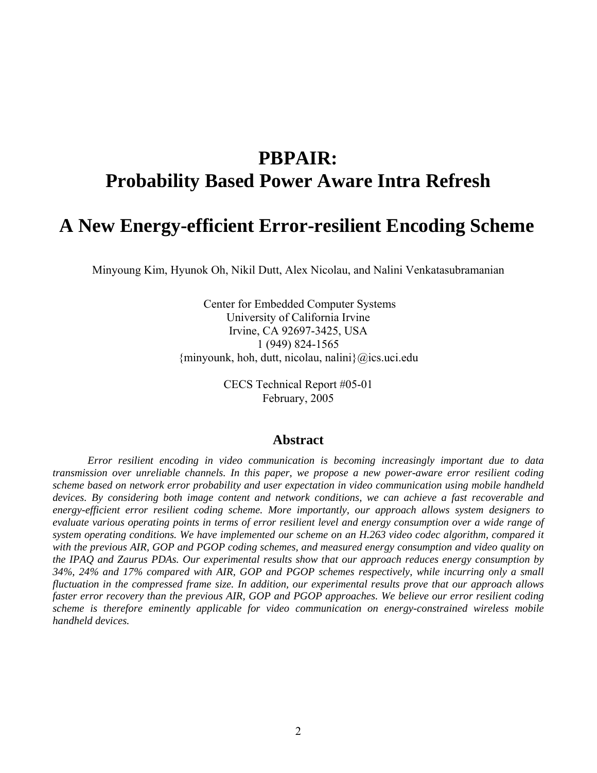# **PBPAIR: Probability Based Power Aware Intra Refresh**

# **A New Energy-efficient Error-resilient Encoding Scheme**

Minyoung Kim, Hyunok Oh, Nikil Dutt, Alex Nicolau, and Nalini Venkatasubramanian

 Center for Embedded Computer Systems University of California Irvine Irvine, CA 92697-3425, USA 1 (949) 824-1565 {minyounk, hoh, dutt, nicolau, nalini}@ics.uci.edu

> CECS Technical Report #05-01 February, 2005

### **Abstract**

*Error resilient encoding in video communication is becoming increasingly important due to data transmission over unreliable channels. In this paper, we propose a new power-aware error resilient coding scheme based on network error probability and user expectation in video communication using mobile handheld devices. By considering both image content and network conditions, we can achieve a fast recoverable and energy-efficient error resilient coding scheme. More importantly, our approach allows system designers to evaluate various operating points in terms of error resilient level and energy consumption over a wide range of system operating conditions. We have implemented our scheme on an H.263 video codec algorithm, compared it with the previous AIR, GOP and PGOP coding schemes, and measured energy consumption and video quality on the IPAQ and Zaurus PDAs. Our experimental results show that our approach reduces energy consumption by 34%, 24% and 17% compared with AIR, GOP and PGOP schemes respectively, while incurring only a small fluctuation in the compressed frame size. In addition, our experimental results prove that our approach allows faster error recovery than the previous AIR, GOP and PGOP approaches. We believe our error resilient coding scheme is therefore eminently applicable for video communication on energy-constrained wireless mobile handheld devices.*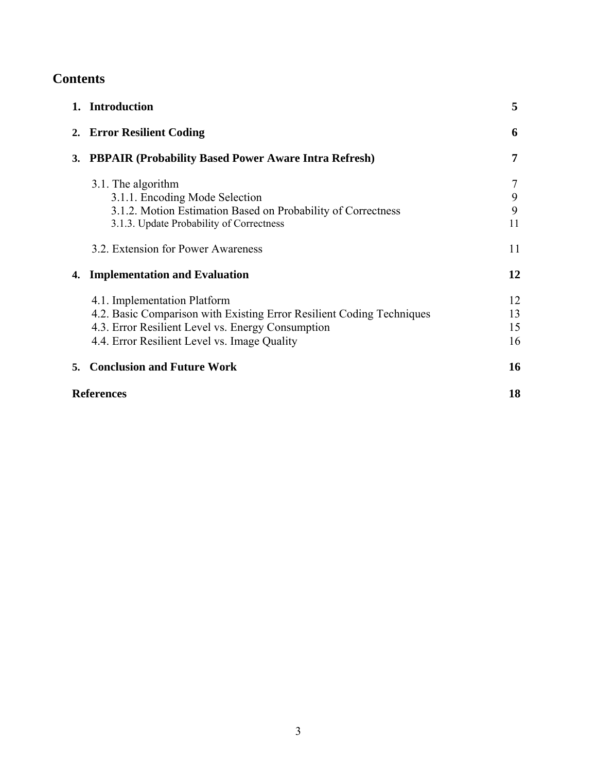# **Contents**

|                   | 1. Introduction                                                                                                                                                                                            | 5                    |
|-------------------|------------------------------------------------------------------------------------------------------------------------------------------------------------------------------------------------------------|----------------------|
|                   | 2. Error Resilient Coding                                                                                                                                                                                  | 6                    |
| 3.                | <b>PBPAIR (Probability Based Power Aware Intra Refresh)</b>                                                                                                                                                | 7                    |
|                   | 3.1. The algorithm<br>3.1.1. Encoding Mode Selection<br>3.1.2. Motion Estimation Based on Probability of Correctness<br>3.1.3. Update Probability of Correctness                                           | 7<br>9<br>9<br>11    |
|                   | 3.2. Extension for Power Awareness                                                                                                                                                                         | 11                   |
| 4.                | <b>Implementation and Evaluation</b>                                                                                                                                                                       | 12                   |
|                   | 4.1. Implementation Platform<br>4.2. Basic Comparison with Existing Error Resilient Coding Techniques<br>4.3. Error Resilient Level vs. Energy Consumption<br>4.4. Error Resilient Level vs. Image Quality | 12<br>13<br>15<br>16 |
| 5.                | <b>Conclusion and Future Work</b>                                                                                                                                                                          | 16                   |
| <b>References</b> |                                                                                                                                                                                                            | 18                   |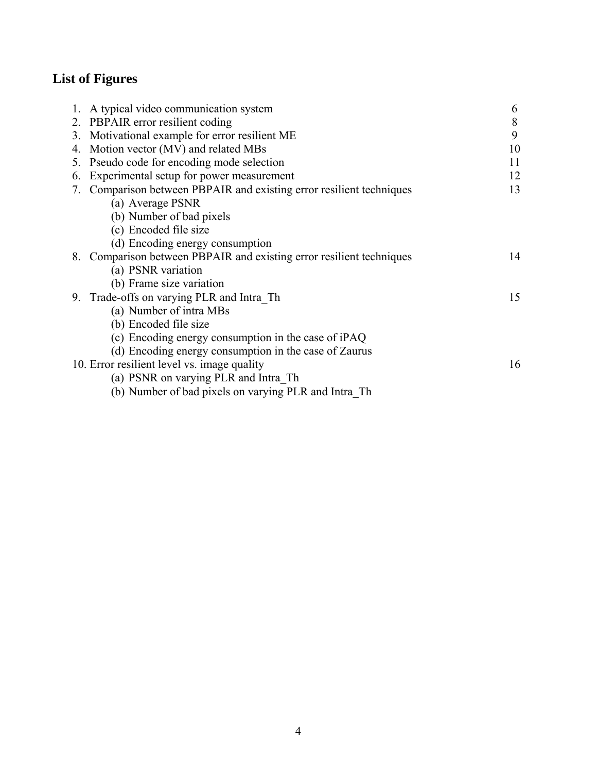# **List of Figures**

|    | 1. A typical video communication system                              | 6  |
|----|----------------------------------------------------------------------|----|
|    | 2. PBPAIR error resilient coding                                     | 8  |
|    | 3. Motivational example for error resilient ME                       | 9  |
| 4. | Motion vector (MV) and related MBs                                   | 10 |
| 5. | Pseudo code for encoding mode selection                              | 11 |
| 6. | Experimental setup for power measurement                             | 12 |
|    | 7. Comparison between PBPAIR and existing error resilient techniques | 13 |
|    | (a) Average PSNR                                                     |    |
|    | (b) Number of bad pixels                                             |    |
|    | (c) Encoded file size                                                |    |
|    | (d) Encoding energy consumption                                      |    |
|    | 8. Comparison between PBPAIR and existing error resilient techniques | 14 |
|    | (a) PSNR variation                                                   |    |
|    | (b) Frame size variation                                             |    |
|    | 9. Trade-offs on varying PLR and Intra Th                            | 15 |
|    | (a) Number of intra MBs                                              |    |
|    | (b) Encoded file size                                                |    |
|    | (c) Encoding energy consumption in the case of iPAQ                  |    |
|    | (d) Encoding energy consumption in the case of Zaurus                |    |
|    | 10. Error resilient level vs. image quality                          | 16 |
|    | (a) PSNR on varying PLR and Intra Th                                 |    |
|    | (b) Number of bad pixels on varying PLR and Intra Th                 |    |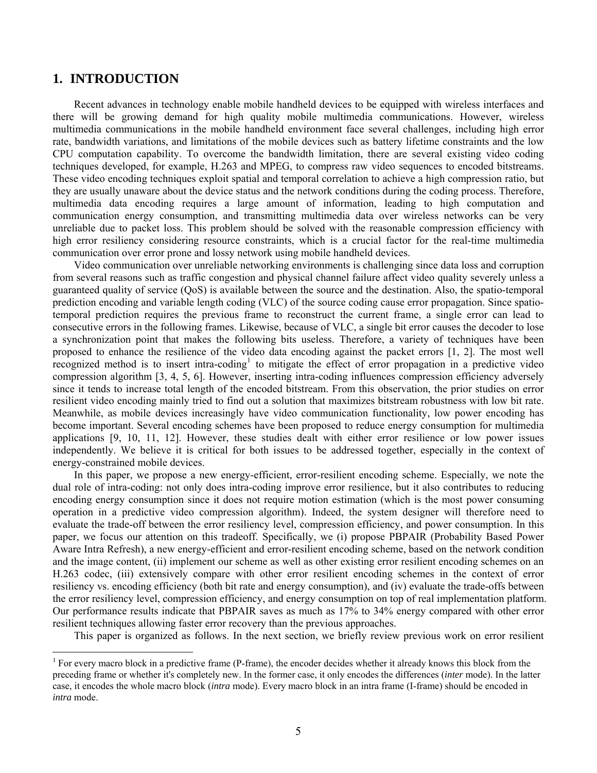### **1. INTRODUCTION**

 $\overline{a}$ 

Recent advances in technology enable mobile handheld devices to be equipped with wireless interfaces and there will be growing demand for high quality mobile multimedia communications. However, wireless multimedia communications in the mobile handheld environment face several challenges, including high error rate, bandwidth variations, and limitations of the mobile devices such as battery lifetime constraints and the low CPU computation capability. To overcome the bandwidth limitation, there are several existing video coding techniques developed, for example, H.263 and MPEG, to compress raw video sequences to encoded bitstreams. These video encoding techniques exploit spatial and temporal correlation to achieve a high compression ratio, but they are usually unaware about the device status and the network conditions during the coding process. Therefore, multimedia data encoding requires a large amount of information, leading to high computation and communication energy consumption, and transmitting multimedia data over wireless networks can be very unreliable due to packet loss. This problem should be solved with the reasonable compression efficiency with high error resiliency considering resource constraints, which is a crucial factor for the real-time multimedia communication over error prone and lossy network using mobile handheld devices.

Video communication over unreliable networking environments is challenging since data loss and corruption from several reasons such as traffic congestion and physical channel failure affect video quality severely unless a guaranteed quality of service (QoS) is available between the source and the destination. Also, the spatio-temporal prediction encoding and variable length coding (VLC) of the source coding cause error propagation. Since spatiotemporal prediction requires the previous frame to reconstruct the current frame, a single error can lead to consecutive errors in the following frames. Likewise, because of VLC, a single bit error causes the decoder to lose a synchronization point that makes the following bits useless. Therefore, a variety of techniques have been proposed to enhance the resilience of the video data encoding against the packet errors [1, 2]. The most well recognizedmethod is to insert intra-coding<sup>1</sup> to mitigate the effect of error propagation in a predictive video compression algorithm [3, 4, 5, 6]. However, inserting intra-coding influences compression efficiency adversely since it tends to increase total length of the encoded bitstream. From this observation, the prior studies on error resilient video encoding mainly tried to find out a solution that maximizes bitstream robustness with low bit rate. Meanwhile, as mobile devices increasingly have video communication functionality, low power encoding has become important. Several encoding schemes have been proposed to reduce energy consumption for multimedia applications [9, 10, 11, 12]. However, these studies dealt with either error resilience or low power issues independently. We believe it is critical for both issues to be addressed together, especially in the context of energy-constrained mobile devices.

In this paper, we propose a new energy-efficient, error-resilient encoding scheme. Especially, we note the dual role of intra-coding: not only does intra-coding improve error resilience, but it also contributes to reducing encoding energy consumption since it does not require motion estimation (which is the most power consuming operation in a predictive video compression algorithm). Indeed, the system designer will therefore need to evaluate the trade-off between the error resiliency level, compression efficiency, and power consumption. In this paper, we focus our attention on this tradeoff. Specifically, we (i) propose PBPAIR (Probability Based Power Aware Intra Refresh), a new energy-efficient and error-resilient encoding scheme, based on the network condition and the image content, (ii) implement our scheme as well as other existing error resilient encoding schemes on an H.263 codec, (iii) extensively compare with other error resilient encoding schemes in the context of error resiliency vs. encoding efficiency (both bit rate and energy consumption), and (iv) evaluate the trade-offs between the error resiliency level, compression efficiency, and energy consumption on top of real implementation platform. Our performance results indicate that PBPAIR saves as much as 17% to 34% energy compared with other error resilient techniques allowing faster error recovery than the previous approaches.

This paper is organized as follows. In the next section, we briefly review previous work on error resilient

<span id="page-4-0"></span><sup>&</sup>lt;sup>1</sup> For every macro block in a predictive frame (P-frame), the encoder decides whether it already knows this block from the preceding frame or whether it's completely new. In the former case, it only encodes the differences (*inter* mode). In the latter case, it encodes the whole macro block (*intra* mode). Every macro block in an intra frame (I-frame) should be encoded in *intra* mode.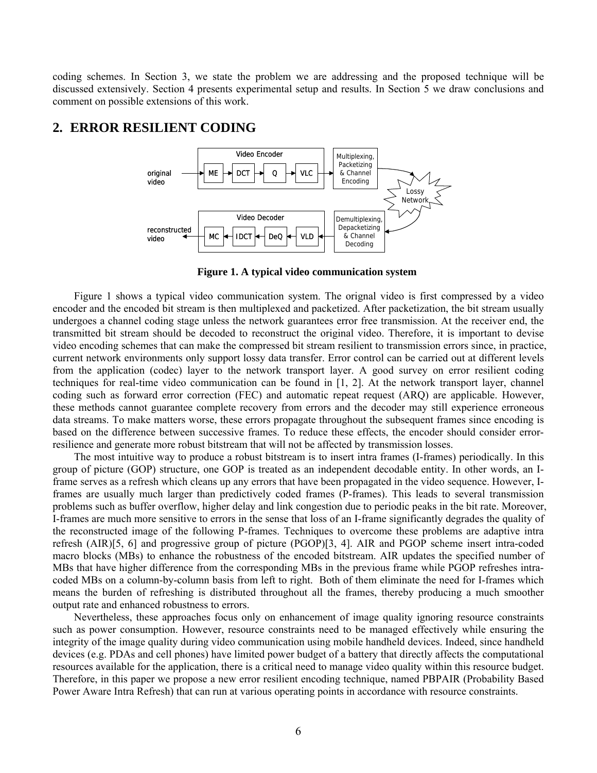coding schemes. In Section 3, we state the problem we are addressing and the proposed technique will be discussed extensively. Section 4 presents experimental setup and results. In Section 5 we draw conclusions and comment on possible extensions of this work.

### **2. ERROR RESILIENT CODING**



**Figure 1. A typical video communication system**

Figure 1 shows a typical video communication system. The orignal video is first compressed by a video encoder and the encoded bit stream is then multiplexed and packetized. After packetization, the bit stream usually undergoes a channel coding stage unless the network guarantees error free transmission. At the receiver end, the transmitted bit stream should be decoded to reconstruct the original video. Therefore, it is important to devise video encoding schemes that can make the compressed bit stream resilient to transmission errors since, in practice, current network environments only support lossy data transfer. Error control can be carried out at different levels from the application (codec) layer to the network transport layer. A good survey on error resilient coding techniques for real-time video communication can be found in [1, 2]. At the network transport layer, channel coding such as forward error correction (FEC) and automatic repeat request (ARQ) are applicable. However, these methods cannot guarantee complete recovery from errors and the decoder may still experience erroneous data streams. To make matters worse, these errors propagate throughout the subsequent frames since encoding is based on the difference between successive frames. To reduce these effects, the encoder should consider errorresilience and generate more robust bitstream that will not be affected by transmission losses.

The most intuitive way to produce a robust bitstream is to insert intra frames (I-frames) periodically. In this group of picture (GOP) structure, one GOP is treated as an independent decodable entity. In other words, an Iframe serves as a refresh which cleans up any errors that have been propagated in the video sequence. However, Iframes are usually much larger than predictively coded frames (P-frames). This leads to several transmission problems such as buffer overflow, higher delay and link congestion due to periodic peaks in the bit rate. Moreover, I-frames are much more sensitive to errors in the sense that loss of an I-frame significantly degrades the quality of the reconstructed image of the following P-frames. Techniques to overcome these problems are adaptive intra refresh (AIR)[5, 6] and progressive group of picture (PGOP)[3, 4]. AIR and PGOP scheme insert intra-coded macro blocks (MBs) to enhance the robustness of the encoded bitstream. AIR updates the specified number of MBs that have higher difference from the corresponding MBs in the previous frame while PGOP refreshes intracoded MBs on a column-by-column basis from left to right. Both of them eliminate the need for I-frames which means the burden of refreshing is distributed throughout all the frames, thereby producing a much smoother output rate and enhanced robustness to errors.

Nevertheless, these approaches focus only on enhancement of image quality ignoring resource constraints such as power consumption. However, resource constraints need to be managed effectively while ensuring the integrity of the image quality during video communication using mobile handheld devices. Indeed, since handheld devices (e.g. PDAs and cell phones) have limited power budget of a battery that directly affects the computational resources available for the application, there is a critical need to manage video quality within this resource budget. Therefore, in this paper we propose a new error resilient encoding technique, named PBPAIR (Probability Based Power Aware Intra Refresh) that can run at various operating points in accordance with resource constraints.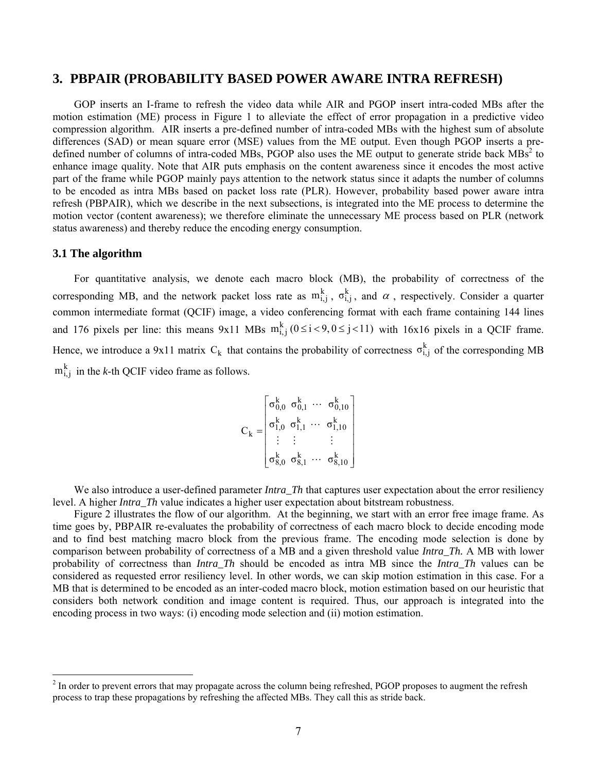### **3. PBPAIR (PROBABILITY BASED POWER AWARE INTRA REFRESH)**

GOP inserts an I-frame to refresh the video data while AIR and PGOP insert intra-coded MBs after the motion estimation (ME) process in Figure 1 to alleviate the effect of error propagation in a predictive video compression algorithm. AIR inserts a pre-defined number of intra-coded MBs with the highest sum of absolute differences (SAD) or mean square error (MSE) values from the ME output. Even though PGOP inserts a predefined number of columns of intra-coded MBs, PGOP also uses the ME output to generate stride back  $MBs<sup>2</sup>$  $MBs<sup>2</sup>$  $MBs<sup>2</sup>$  to enhance image quality. Note that AIR puts emphasis on the content awareness since it encodes the most active part of the frame while PGOP mainly pays attention to the network status since it adapts the number of columns to be encoded as intra MBs based on packet loss rate (PLR). However, probability based power aware intra refresh (PBPAIR), which we describe in the next subsections, is integrated into the ME process to determine the motion vector (content awareness); we therefore eliminate the unnecessary ME process based on PLR (network status awareness) and thereby reduce the encoding energy consumption.

#### **3.1 The algorithm**

For quantitative analysis, we denote each macro block (MB), the probability of correctness of the corresponding MB, and the network packet loss rate as  $m_{i,j}^k$ ,  $\sigma_{i,j}^k$ , and  $\alpha$ , respectively. Consider a quarter common intermediate format (QCIF) image, a video conferencing format with each frame containing 144 lines and 176 pixels per line: this means 9x11 MBs  $m_{i,j}^{k}$  ( $0 \le i < 9, 0 \le j < 11$ ) with 16x16 pixels in a QCIF frame. Hence, we introduce a 9x11 matrix  $C_k$  that contains the probability of correctness  $\sigma_{i,j}^k$  of the corresponding MB  $m_{i,j}^k$  in the *k*-th QCIF video frame as follows.

$$
C_k = \begin{bmatrix} \sigma_{0,0}^k & \sigma_{0,1}^k & \cdots & \sigma_{0,10}^k \\ \sigma_{1,0}^k & \sigma_{1,1}^k & \cdots & \sigma_{1,10}^k \\ \vdots & \vdots & & \vdots \\ \sigma_{8,0}^k & \sigma_{8,1}^k & \cdots & \sigma_{8,10}^k \end{bmatrix}
$$

We also introduce a user-defined parameter *Intra. Th* that captures user expectation about the error resiliency level. A higher *Intra\_Th* value indicates a higher user expectation about bitstream robustness.

Figure 2 illustrates the flow of our algorithm. At the beginning, we start with an error free image frame. As time goes by, PBPAIR re-evaluates the probability of correctness of each macro block to decide encoding mode and to find best matching macro block from the previous frame. The encoding mode selection is done by comparison between probability of correctness of a MB and a given threshold value *Intra\_Th.* A MB with lower probability of correctness than *Intra\_Th* should be encoded as intra MB since the *Intra\_Th* values can be considered as requested error resiliency level. In other words, we can skip motion estimation in this case. For a MB that is determined to be encoded as an inter-coded macro block, motion estimation based on our heuristic that considers both network condition and image content is required. Thus, our approach is integrated into the encoding process in two ways: (i) encoding mode selection and (ii) motion estimation.

<span id="page-6-0"></span><sup>&</sup>lt;sup>2</sup> In order to prevent errors that may propagate across the column being refreshed, PGOP proposes to augment the refresh process to trap these propagations by refreshing the affected MBs. They call this as stride back.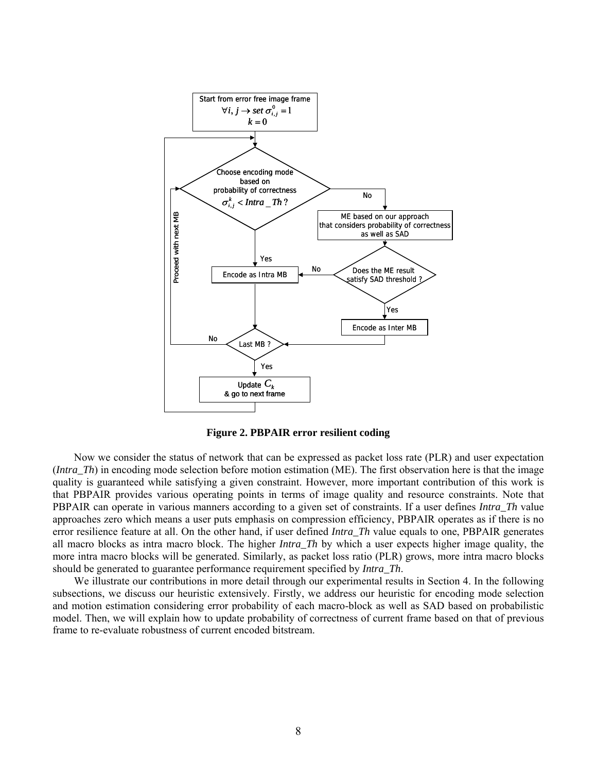

**Figure 2. PBPAIR error resilient coding**

Now we consider the status of network that can be expressed as packet loss rate (PLR) and user expectation (*Intra\_Th*) in encoding mode selection before motion estimation (ME). The first observation here is that the image quality is guaranteed while satisfying a given constraint. However, more important contribution of this work is that PBPAIR provides various operating points in terms of image quality and resource constraints. Note that PBPAIR can operate in various manners according to a given set of constraints. If a user defines *Intra\_Th* value approaches zero which means a user puts emphasis on compression efficiency, PBPAIR operates as if there is no error resilience feature at all. On the other hand, if user defined *Intra\_Th* value equals to one, PBPAIR generates all macro blocks as intra macro block. The higher *Intra\_Th* by which a user expects higher image quality, the more intra macro blocks will be generated. Similarly, as packet loss ratio (PLR) grows, more intra macro blocks should be generated to guarantee performance requirement specified by *Intra\_Th*.

We illustrate our contributions in more detail through our experimental results in Section 4. In the following subsections, we discuss our heuristic extensively. Firstly, we address our heuristic for encoding mode selection and motion estimation considering error probability of each macro-block as well as SAD based on probabilistic model. Then, we will explain how to update probability of correctness of current frame based on that of previous frame to re-evaluate robustness of current encoded bitstream.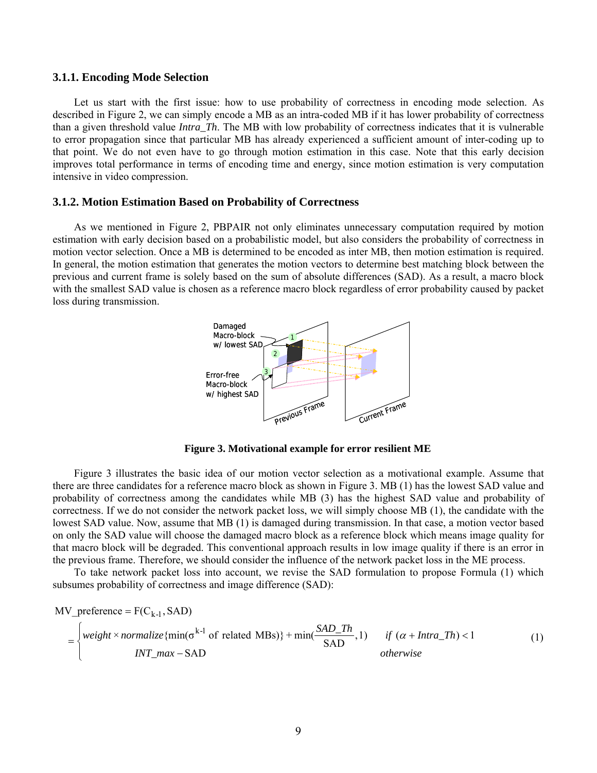#### **3.1.1. Encoding Mode Selection**

Let us start with the first issue: how to use probability of correctness in encoding mode selection. As described in Figure 2, we can simply encode a MB as an intra-coded MB if it has lower probability of correctness than a given threshold value *Intra\_Th*. The MB with low probability of correctness indicates that it is vulnerable to error propagation since that particular MB has already experienced a sufficient amount of inter-coding up to that point. We do not even have to go through motion estimation in this case. Note that this early decision improves total performance in terms of encoding time and energy, since motion estimation is very computation intensive in video compression.

#### **3.1.2. Motion Estimation Based on Probability of Correctness**

As we mentioned in Figure 2, PBPAIR not only eliminates unnecessary computation required by motion estimation with early decision based on a probabilistic model, but also considers the probability of correctness in motion vector selection. Once a MB is determined to be encoded as inter MB, then motion estimation is required. In general, the motion estimation that generates the motion vectors to determine best matching block between the previous and current frame is solely based on the sum of absolute differences (SAD). As a result, a macro block with the smallest SAD value is chosen as a reference macro block regardless of error probability caused by packet loss during transmission.



**Figure 3. Motivational example for error resilient ME**

Figure 3 illustrates the basic idea of our motion vector selection as a motivational example. Assume that there are three candidates for a reference macro block as shown in Figure 3. MB (1) has the lowest SAD value and probability of correctness among the candidates while MB (3) has the highest SAD value and probability of correctness. If we do not consider the network packet loss, we will simply choose MB (1), the candidate with the lowest SAD value. Now, assume that MB (1) is damaged during transmission. In that case, a motion vector based on only the SAD value will choose the damaged macro block as a reference block which means image quality for that macro block will be degraded. This conventional approach results in low image quality if there is an error in the previous frame. Therefore, we should consider the influence of the network packet loss in the ME process.

To take network packet loss into account, we revise the SAD formulation to propose Formula (1) which subsumes probability of correctness and image difference (SAD):

MV\_preference = F(C<sub>k-1</sub>, SAD)  
\n= 
$$
\begin{cases}\n\text{weight} \times \text{normalize}\{\min(\sigma^{k-1} \text{ of related MBs})\} + \min(\frac{SAD\_Th}{SAD}, 1) & \text{if } (\alpha + \text{Intra\_Th}) < 1 \\
\text{INT\_max} - SAD & \text{otherwise}\n\end{cases}
$$
\n(1)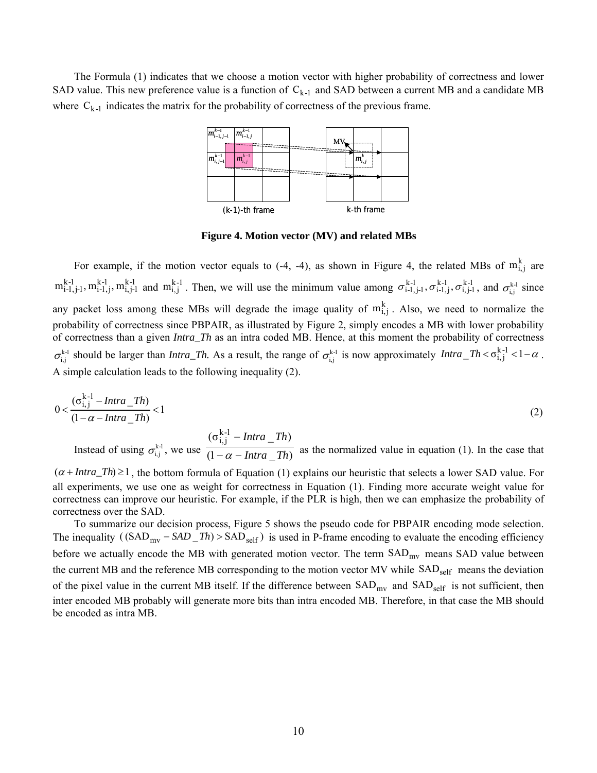The Formula (1) indicates that we choose a motion vector with higher probability of correctness and lower SAD value. This new preference value is a function of  $C_{k-1}$  and SAD between a current MB and a candidate MB where  $C_{k-1}$  indicates the matrix for the probability of correctness of the previous frame.



**Figure 4. Motion vector (MV) and related MBs**

For example, if the motion vector equals to (-4, -4), as shown in Figure 4, the related MBs of  $m_{i,j}^k$  are  $m_{i-1,j-1}^{k-1}$ ,  $m_{i-1,j}^{k-1}$ ,  $m_{i,j-1}^{k-1}$  and  $m_{i,j}^{k-1}$ . Then, we will use the minimum value among  $\sigma_{i-1,j-1}^{k-1}$ ,  $\sigma_{i-1,j}^{k-1}$ ,  $\sigma_{i,j-1}^{k-1}$ , and  $\sigma_{i,j}^{k-1}$  since any packet loss among these MBs will degrade the image quality of  $m_{i,j}^k$ . Also, we need to normalize the probability of correctness since PBPAIR, as illustrated by Figure 2, simply encodes a MB with lower probability of correctness than a given *Intra\_Th* as an intra coded MB. Hence, at this moment the probability of correctness  $\sigma_{i,j}^{k-1}$  should be larger than *Intra\_Th*. As a result, the range of  $\sigma_{i,j}^{k-1}$  is now approximately  $Intra\_Th < \sigma_{i,j}^{k-1} < 1-\alpha$ . A simple calculation leads to the following inequality (2).

$$
0 < \frac{(\sigma_{i,j}^{k-1} - Intra\_Th)}{(1 - \alpha - Intra\_Th)} < 1
$$
\n
$$
(2)
$$

Instead of using  $\sigma_{i,j}^{k-1}$ , we use  $\frac{1}{(1 - \alpha - Intra - Th)}$  $(\sigma_{i,j}^{k-l} - Intra\_Th)$ *Intra Th Intra Th*  $-\alpha$  – −  $\frac{a}{\alpha - Intra}$   $\frac{a}{\alpha}$  as the normalized value in equation (1). In the case that

(<sup>α</sup> + *Intra\_Th*) ≥1, the bottom formula of Equation (1) explains our heuristic that selects a lower SAD value. For all experiments, we use one as weight for correctness in Equation (1). Finding more accurate weight value for correctness can improve our heuristic. For example, if the PLR is high, then we can emphasize the probability of correctness over the SAD.

To summarize our decision process, Figure 5 shows the pseudo code for PBPAIR encoding mode selection. The inequality  $((SAD_{mv} - SAD_{m}) > SAD_{self})$  is used in P-frame encoding to evaluate the encoding efficiency before we actually encode the MB with generated motion vector. The term  $SAD_{mv}$  means  $SAD$  value between the current MB and the reference MB corresponding to the motion vector MV while SAD<sub>self</sub> means the deviation of the pixel value in the current MB itself. If the difference between  $SAD_{mv}$  and  $SAD_{self}$  is not sufficient, then inter encoded MB probably will generate more bits than intra encoded MB. Therefore, in that case the MB should be encoded as intra MB.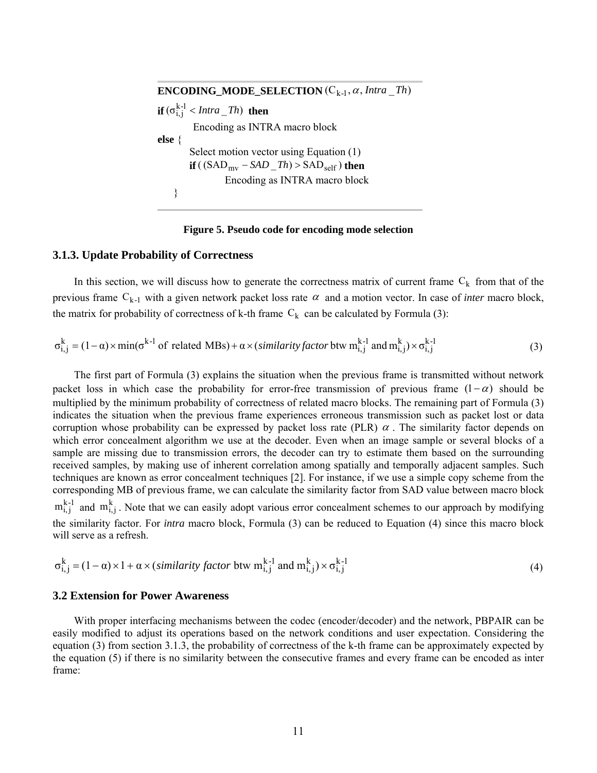**ENCODING\_MODE\_SELECTION**  $(C_{k-1}, \alpha, Intra\_Th)$ **if**  $(\sigma_{i,j}^{k-1} < Intra\_Th)$  **then** Encoding as INTRA macro block **else** { Select motion vector using Equation (1) **if** (  $(SAD_{mv} - SAD_{m}Th) > SAD_{self}$  ) then Encoding as INTRA macro block } ============================================

============================================

#### **Figure 5. Pseudo code for encoding mode selection**

#### **3.1.3. Update Probability of Correctness**

In this section, we will discuss how to generate the correctness matrix of current frame  $C_k$  from that of the previous frame  $C_{k-1}$  with a given network packet loss rate  $\alpha$  and a motion vector. In case of *inter* macro block, the matrix for probability of correctness of k-th frame  $C_k$  can be calculated by Formula (3):

$$
\sigma_{i,j}^{k} = (1 - \alpha) \times \min(\sigma^{k-1} \text{ of related MBs}) + \alpha \times (\text{similarity factor by } m_{i,j}^{k-1} \text{ and } m_{i,j}^{k}) \times \sigma_{i,j}^{k-1}
$$
(3)

The first part of Formula (3) explains the situation when the previous frame is transmitted without network packet loss in which case the probability for error-free transmission of previous frame  $(1-\alpha)$  should be multiplied by the minimum probability of correctness of related macro blocks. The remaining part of Formula (3) indicates the situation when the previous frame experiences erroneous transmission such as packet lost or data corruption whose probability can be expressed by packet loss rate (PLR)  $\alpha$ . The similarity factor depends on which error concealment algorithm we use at the decoder. Even when an image sample or several blocks of a sample are missing due to transmission errors, the decoder can try to estimate them based on the surrounding received samples, by making use of inherent correlation among spatially and temporally adjacent samples. Such techniques are known as error concealment techniques [2]. For instance, if we use a simple copy scheme from the corresponding MB of previous frame, we can calculate the similarity factor from SAD value between macro block  $m_{i,j}^{k-1}$  and  $m_{i,j}^k$ . Note that we can easily adopt various error concealment schemes to our approach by modifying the similarity factor. For *intra* macro block, Formula (3) can be reduced to Equation (4) since this macro block will serve as a refresh.

$$
\sigma_{i,j}^{k} = (1 - \alpha) \times 1 + \alpha \times (similarity factor \text{ btw } m_{i,j}^{k-1} \text{ and } m_{i,j}^{k}) \times \sigma_{i,j}^{k-1}
$$
(4)

#### **3.2 Extension for Power Awareness**

With proper interfacing mechanisms between the codec (encoder/decoder) and the network, PBPAIR can be easily modified to adjust its operations based on the network conditions and user expectation. Considering the equation (3) from section 3.1.3, the probability of correctness of the k-th frame can be approximately expected by the equation (5) if there is no similarity between the consecutive frames and every frame can be encoded as inter frame: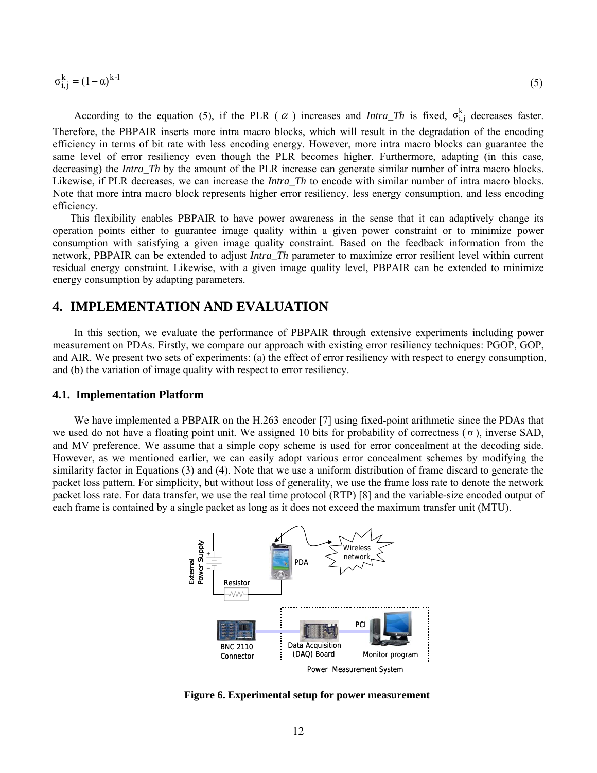$$
\sigma_{i,j}^k = (1 - \alpha)^{k-1} \tag{5}
$$

According to the equation (5), if the PLR ( $\alpha$ ) increases and *Intra\_Th* is fixed,  $\sigma_{i,j}^k$  decreases faster. Therefore, the PBPAIR inserts more intra macro blocks, which will result in the degradation of the encoding efficiency in terms of bit rate with less encoding energy. However, more intra macro blocks can guarantee the same level of error resiliency even though the PLR becomes higher. Furthermore, adapting (in this case, decreasing) the *Intra. Th* by the amount of the PLR increase can generate similar number of intra macro blocks. Likewise, if PLR decreases, we can increase the *Intra\_Th* to encode with similar number of intra macro blocks. Note that more intra macro block represents higher error resiliency, less energy consumption, and less encoding efficiency.

This flexibility enables PBPAIR to have power awareness in the sense that it can adaptively change its operation points either to guarantee image quality within a given power constraint or to minimize power consumption with satisfying a given image quality constraint. Based on the feedback information from the network, PBPAIR can be extended to adjust *Intra\_Th* parameter to maximize error resilient level within current residual energy constraint. Likewise, with a given image quality level, PBPAIR can be extended to minimize energy consumption by adapting parameters.

## **4. IMPLEMENTATION AND EVALUATION**

In this section, we evaluate the performance of PBPAIR through extensive experiments including power measurement on PDAs. Firstly, we compare our approach with existing error resiliency techniques: PGOP, GOP, and AIR. We present two sets of experiments: (a) the effect of error resiliency with respect to energy consumption, and (b) the variation of image quality with respect to error resiliency.

#### **4.1. Implementation Platform**

We have implemented a PBPAIR on the H.263 encoder [7] using fixed-point arithmetic since the PDAs that we used do not have a floating point unit. We assigned 10 bits for probability of correctness  $(\sigma)$ , inverse SAD, and MV preference. We assume that a simple copy scheme is used for error concealment at the decoding side. However, as we mentioned earlier, we can easily adopt various error concealment schemes by modifying the similarity factor in Equations (3) and (4). Note that we use a uniform distribution of frame discard to generate the packet loss pattern. For simplicity, but without loss of generality, we use the frame loss rate to denote the network packet loss rate. For data transfer, we use the real time protocol (RTP) [8] and the variable-size encoded output of each frame is contained by a single packet as long as it does not exceed the maximum transfer unit (MTU).



**Figure 6. Experimental setup for power measurement**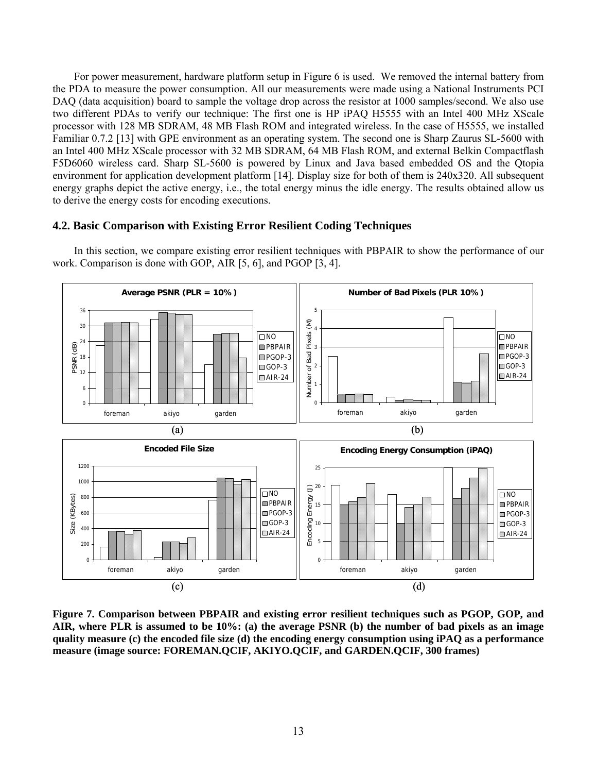For power measurement, hardware platform setup in Figure 6 is used. We removed the internal battery from the PDA to measure the power consumption. All our measurements were made using a National Instruments PCI DAQ (data acquisition) board to sample the voltage drop across the resistor at 1000 samples/second. We also use two different PDAs to verify our technique: The first one is HP iPAQ H5555 with an Intel 400 MHz XScale processor with 128 MB SDRAM, 48 MB Flash ROM and integrated wireless. In the case of H5555, we installed Familiar 0.7.2 [13] with GPE environment as an operating system. The second one is Sharp Zaurus SL-5600 with an Intel 400 MHz XScale processor with 32 MB SDRAM, 64 MB Flash ROM, and external Belkin Compactflash F5D6060 wireless card. Sharp SL-5600 is powered by Linux and Java based embedded OS and the Qtopia environment for application development platform [14]. Display size for both of them is 240x320. All subsequent energy graphs depict the active energy, i.e., the total energy minus the idle energy. The results obtained allow us to derive the energy costs for encoding executions.

### **4.2. Basic Comparison with Existing Error Resilient Coding Techniques**

In this section, we compare existing error resilient techniques with PBPAIR to show the performance of our work. Comparison is done with GOP, AIR [5, 6], and PGOP [3, 4].



**Figure 7. Comparison between PBPAIR and existing error resilient techniques such as PGOP, GOP, and AIR, where PLR is assumed to be 10%: (a) the average PSNR (b) the number of bad pixels as an image quality measure (c) the encoded file size (d) the encoding energy consumption using iPAQ as a performance measure (image source: FOREMAN.QCIF, AKIYO.QCIF, and GARDEN.QCIF, 300 frames)**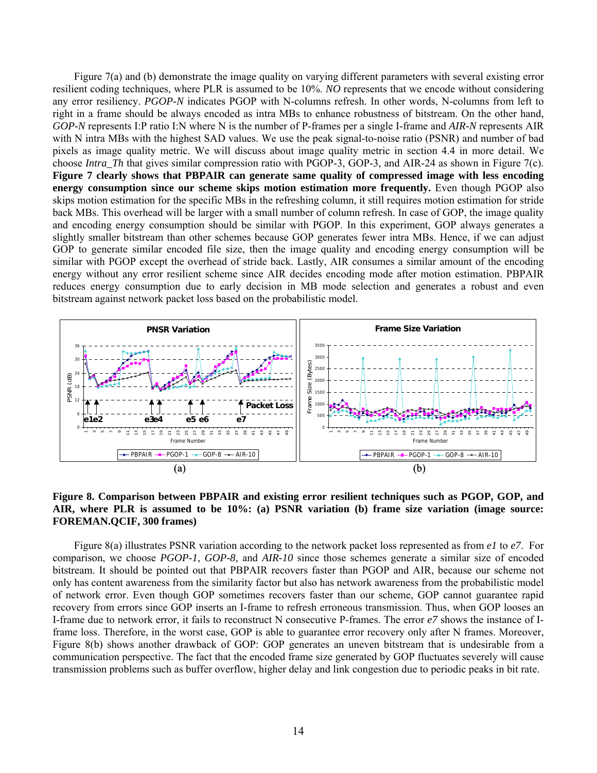Figure 7(a) and (b) demonstrate the image quality on varying different parameters with several existing error resilient coding techniques, where PLR is assumed to be 10%. *NO* represents that we encode without considering any error resiliency. *PGOP-N* indicates PGOP with N-columns refresh. In other words, N-columns from left to right in a frame should be always encoded as intra MBs to enhance robustness of bitstream. On the other hand, *GOP-N* represents I:P ratio I:N where N is the number of P-frames per a single I-frame and *AIR-N* represents AIR with N intra MBs with the highest SAD values. We use the peak signal-to-noise ratio (PSNR) and number of bad pixels as image quality metric. We will discuss about image quality metric in section 4.4 in more detail. We choose *Intra\_Th* that gives similar compression ratio with PGOP-3, GOP-3, and AIR-24 as shown in Figure 7(c). **Figure 7 clearly shows that PBPAIR can generate same quality of compressed image with less encoding energy consumption since our scheme skips motion estimation more frequently.** Even though PGOP also skips motion estimation for the specific MBs in the refreshing column, it still requires motion estimation for stride back MBs. This overhead will be larger with a small number of column refresh. In case of GOP, the image quality and encoding energy consumption should be similar with PGOP. In this experiment, GOP always generates a slightly smaller bitstream than other schemes because GOP generates fewer intra MBs. Hence, if we can adjust GOP to generate similar encoded file size, then the image quality and encoding energy consumption will be similar with PGOP except the overhead of stride back. Lastly, AIR consumes a similar amount of the encoding energy without any error resilient scheme since AIR decides encoding mode after motion estimation. PBPAIR reduces energy consumption due to early decision in MB mode selection and generates a robust and even bitstream against network packet loss based on the probabilistic model.



**Figure 8. Comparison between PBPAIR and existing error resilient techniques such as PGOP, GOP, and AIR, where PLR is assumed to be 10%: (a) PSNR variation (b) frame size variation (image source: FOREMAN.QCIF, 300 frames)** 

Figure 8(a) illustrates PSNR variation according to the network packet loss represented as from *e1* to *e7*. For comparison, we choose *PGOP-1*, *GOP-8*, and *AIR-10* since those schemes generate a similar size of encoded bitstream. It should be pointed out that PBPAIR recovers faster than PGOP and AIR, because our scheme not only has content awareness from the similarity factor but also has network awareness from the probabilistic model of network error. Even though GOP sometimes recovers faster than our scheme, GOP cannot guarantee rapid recovery from errors since GOP inserts an I-frame to refresh erroneous transmission. Thus, when GOP looses an I-frame due to network error, it fails to reconstruct N consecutive P-frames. The error *e7* shows the instance of Iframe loss. Therefore, in the worst case, GOP is able to guarantee error recovery only after N frames. Moreover, Figure 8(b) shows another drawback of GOP: GOP generates an uneven bitstream that is undesirable from a communication perspective. The fact that the encoded frame size generated by GOP fluctuates severely will cause transmission problems such as buffer overflow, higher delay and link congestion due to periodic peaks in bit rate.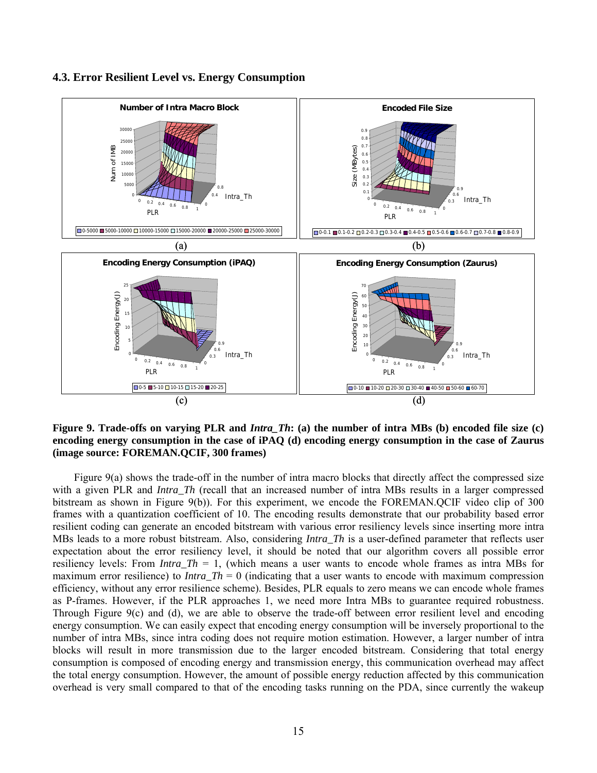

**4.3. Error Resilient Level vs. Energy Consumption** 

**Figure 9. Trade-offs on varying PLR and** *Intra\_Th***: (a) the number of intra MBs (b) encoded file size (c) encoding energy consumption in the case of iPAQ (d) encoding energy consumption in the case of Zaurus (image source: FOREMAN.QCIF, 300 frames)**

Figure 9(a) shows the trade-off in the number of intra macro blocks that directly affect the compressed size with a given PLR and *Intra Th* (recall that an increased number of intra MBs results in a larger compressed bitstream as shown in Figure 9(b)). For this experiment, we encode the FOREMAN.QCIF video clip of 300 frames with a quantization coefficient of 10. The encoding results demonstrate that our probability based error resilient coding can generate an encoded bitstream with various error resiliency levels since inserting more intra MBs leads to a more robust bitstream. Also, considering *Intra Th* is a user-defined parameter that reflects user expectation about the error resiliency level, it should be noted that our algorithm covers all possible error resiliency levels: From *Intra*  $Th = 1$ , (which means a user wants to encode whole frames as intra MBs for maximum error resilience) to *Intra*  $Th = 0$  (indicating that a user wants to encode with maximum compression efficiency, without any error resilience scheme). Besides, PLR equals to zero means we can encode whole frames as P-frames. However, if the PLR approaches 1, we need more Intra MBs to guarantee required robustness. Through Figure 9(c) and (d), we are able to observe the trade-off between error resilient level and encoding energy consumption. We can easily expect that encoding energy consumption will be inversely proportional to the number of intra MBs, since intra coding does not require motion estimation. However, a larger number of intra blocks will result in more transmission due to the larger encoded bitstream. Considering that total energy consumption is composed of encoding energy and transmission energy, this communication overhead may affect the total energy consumption. However, the amount of possible energy reduction affected by this communication overhead is very small compared to that of the encoding tasks running on the PDA, since currently the wakeup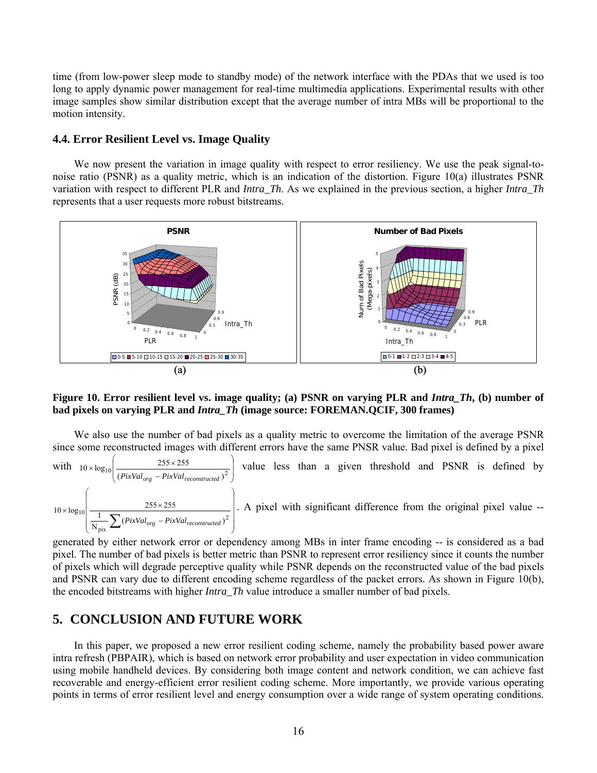time (from low-power sleep mode to standby mode) of the network interface with the PDAs that we used is too long to apply dynamic power management for real-time multimedia applications. Experimental results with other image samples show similar distribution except that the average number of intra MBs will be proportional to the motion intensity.

#### **4.4. Error Resilient Level vs. Image Quality**

We now present the variation in image quality with respect to error resiliency. We use the peak signal-tonoise ratio (PSNR) as a quality metric, which is an indication of the distortion. Figure 10(a) illustrates PSNR variation with respect to different PLR and *Intra\_Th*. As we explained in the previous section, a higher *Intra\_Th* represents that a user requests more robust bitstreams.



#### **Figure 10. Error resilient level vs. image quality; (a) PSNR on varying PLR and** *Intra\_Th***, (b) number of bad pixels on varying PLR and** *Intra\_Th* **(image source: FOREMAN.QCIF, 300 frames)**

We also use the number of bad pixels as a quality metric to overcome the limitation of the average PSNR since some reconstructed images with different errors have the same PNSR value. Bad pixel is defined by a pixel

with  $10 \times \log_{10} \left( \frac{255 \times 255}{(B_{ir}$   $V_{cl}} - B_{ir}$   $\frac{V_{cl}}{V_{cl}} - 1 \right)^2$ ⎠ ⎞  $\parallel$ ⎝ ⎛  $10 \times \log_{10} \left( \frac{255 \times 255}{\left( \frac{PixVal_{oro} - PixVal_{reconstructed}}{PixVal_{reconstructed}} \right)^2} \right)$ *PixValorg PixValreconstructed* value less than a given threshold and PSNR is defined by ⎟ ⎟ ⎟ ⎟ ⎟ ⎠ ⎞ ⎜ ⎜ ⎜ ⎜ ⎜ ⎝ ⎛ −  $\times \log_{10}$  255  $\times$  $\frac{1}{\text{pix}}\sum (PixVal_{org} - PixVal_{reconstructed})^2$  $10 \times \log_{10} \left| \frac{255 \times 255}{\frac{1}{N_{\text{mix}}} \sum (PixVal_{org} - PixVal_{reconstructed})} \right|$ *PixValorg PixValreconstructed* . A pixel with significant difference from the original pixel value --

generated by either network error or dependency among MBs in inter frame encoding -- is considered as a bad pixel. The number of bad pixels is better metric than PSNR to represent error resiliency since it counts the number of pixels which will degrade perceptive quality while PSNR depends on the reconstructed value of the bad pixels and PSNR can vary due to different encoding scheme regardless of the packet errors. As shown in Figure 10(b), the encoded bitstreams with higher *Intra\_Th* value introduce a smaller number of bad pixels.

# **5. CONCLUSION AND FUTURE WORK**

In this paper, we proposed a new error resilient coding scheme, namely the probability based power aware intra refresh (PBPAIR), which is based on network error probability and user expectation in video communication using mobile handheld devices. By considering both image content and network condition, we can achieve fast recoverable and energy-efficient error resilient coding scheme. More importantly, we provide various operating points in terms of error resilient level and energy consumption over a wide range of system operating conditions.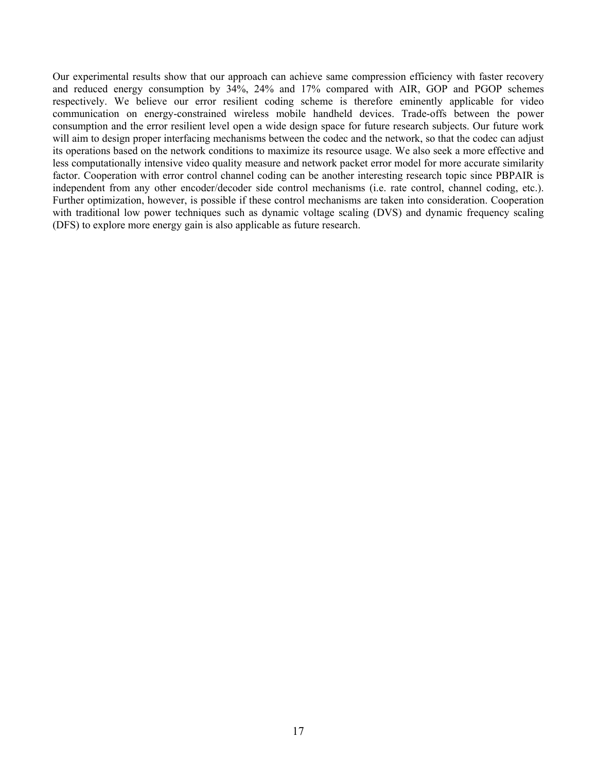Our experimental results show that our approach can achieve same compression efficiency with faster recovery and reduced energy consumption by 34%, 24% and 17% compared with AIR, GOP and PGOP schemes respectively. We believe our error resilient coding scheme is therefore eminently applicable for video communication on energy-constrained wireless mobile handheld devices. Trade-offs between the power consumption and the error resilient level open a wide design space for future research subjects. Our future work will aim to design proper interfacing mechanisms between the codec and the network, so that the codec can adjust its operations based on the network conditions to maximize its resource usage. We also seek a more effective and less computationally intensive video quality measure and network packet error model for more accurate similarity factor. Cooperation with error control channel coding can be another interesting research topic since PBPAIR is independent from any other encoder/decoder side control mechanisms (i.e. rate control, channel coding, etc.). Further optimization, however, is possible if these control mechanisms are taken into consideration. Cooperation with traditional low power techniques such as dynamic voltage scaling (DVS) and dynamic frequency scaling (DFS) to explore more energy gain is also applicable as future research.